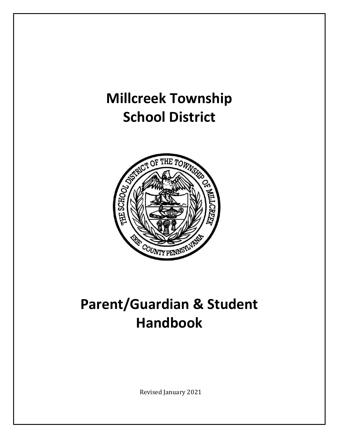# **Millcreek Township School District**



# **Parent/Guardian & Student Handbook**

Revised January 2021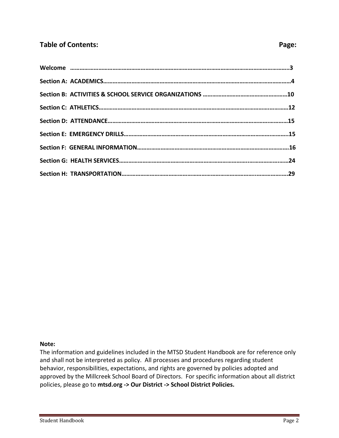# **Table of Contents:** Page:

#### **Note:**

The information and guidelines included in the MTSD Student Handbook are for reference only and shall not be interpreted as policy. All processes and procedures regarding student behavior, responsibilities, expectations, and rights are governed by policies adopted and approved by the Millcreek School Board of Directors. For specific information about all district policies, please go to **mtsd.org -> Our District -> School District Policies.**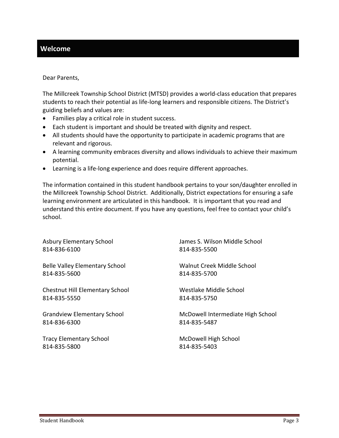# **Welcome**

#### Dear Parents,

The Millcreek Township School District (MTSD) provides a world-class education that prepares students to reach their potential as life-long learners and responsible citizens. The District's guiding beliefs and values are:

- Families play a critical role in student success.
- Each student is important and should be treated with dignity and respect.
- All students should have the opportunity to participate in academic programs that are relevant and rigorous.
- A learning community embraces diversity and allows individuals to achieve their maximum potential.
- Learning is a life-long experience and does require different approaches.

The information contained in this student handbook pertains to your son/daughter enrolled in the Millcreek Township School District. Additionally, District expectations for ensuring a safe learning environment are articulated in this handbook. It is important that you read and understand this entire document. If you have any questions, feel free to contact your child's school.

| <b>Asbury Elementary School</b>        | James S. Wilson Middle School     |
|----------------------------------------|-----------------------------------|
| 814-836-6100                           | 814-835-5500                      |
| <b>Belle Valley Elementary School</b>  | Walnut Creek Middle School        |
| 814-835-5600                           | 814-835-5700                      |
| <b>Chestnut Hill Elementary School</b> | Westlake Middle School            |
| 814-835-5550                           | 814-835-5750                      |
| <b>Grandview Elementary School</b>     | McDowell Intermediate High School |
| 814-836-6300                           | 814-835-5487                      |
| <b>Tracy Elementary School</b>         | McDowell High School              |
| 814-835-5800                           | 814-835-5403                      |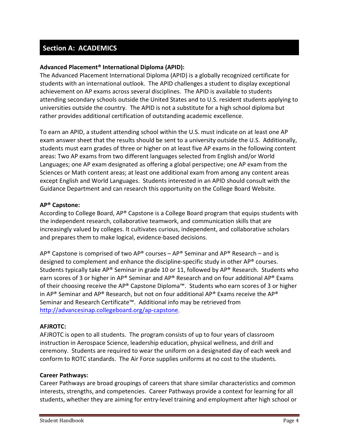# **Section A: ACADEMICS**

# **Advanced Placement® International Diploma (APID):**

The Advanced Placement International Diploma (APID) is a globally recognized certificate for students with an international outlook. The APID challenges a student to display exceptional achievement on AP exams across several disciplines. The APID is available to students attending secondary schools outside the United States and to U.S. resident students applying to universities outside the country. The APID is not a substitute for a high school diploma but rather provides additional certification of outstanding academic excellence.

To earn an APID, a student attending school within the U.S. must indicate on at least one AP exam answer sheet that the results should be sent to a university outside the U.S. Additionally, students must earn grades of three or higher on at least five AP exams in the following content areas: Two AP exams from two different languages selected from English and/or World Languages; one AP exam designated as offering a global perspective; one AP exam from the Sciences or Math content areas; at least one additional exam from among any content areas except English and World Languages. Students interested in an APID should consult with the Guidance Department and can research this opportunity on the College Board Website.

#### **AP® Capstone:**

According to College Board, AP® Capstone is a College Board program that equips students with the independent research, collaborative teamwork, and communication skills that are increasingly valued by colleges. It cultivates curious, independent, and collaborative scholars and prepares them to make logical, evidence-based decisions.

AP<sup>®</sup> Capstone is comprised of two AP<sup>®</sup> courses – AP<sup>®</sup> Seminar and AP<sup>®</sup> Research – and is designed to complement and enhance the discipline-specific study in other AP® courses. Students typically take AP® Seminar in grade 10 or 11, followed by AP® Research. Students who earn scores of 3 or higher in AP® Seminar and AP® Research and on four additional AP® Exams of their choosing receive the AP® Capstone Diploma™. Students who earn scores of 3 or higher in AP<sup>®</sup> Seminar and AP® Research, but not on four additional AP® Exams receive the AP® Seminar and Research Certificate™. Additional info may be retrieved from [http://advancesinap.collegeboard.org/ap-capstone.](http://advancesinap.collegeboard.org/ap-capstone)

#### **AFJROTC:**

AFJROTC is open to all students. The program consists of up to four years of classroom instruction in Aerospace Science, leadership education, physical wellness, and drill and ceremony. Students are required to wear the uniform on a designated day of each week and conform to ROTC standards. The Air Force supplies uniforms at no cost to the students.

#### **Career Pathways:**

Career Pathways are broad groupings of careers that share similar characteristics and common interests, strengths, and competencies. Career Pathways provide a context for learning for all students, whether they are aiming for entry-level training and employment after high school or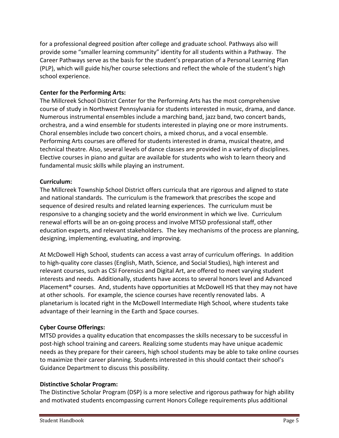for a professional degreed position after college and graduate school. Pathways also will provide some "smaller learning community" identity for all students within a Pathway. The Career Pathways serve as the basis for the student's preparation of a Personal Learning Plan (PLP), which will guide his/her course selections and reflect the whole of the student's high school experience.

# **Center for the Performing Arts:**

The Millcreek School District Center for the Performing Arts has the most comprehensive course of study in Northwest Pennsylvania for students interested in music, drama, and dance. Numerous instrumental ensembles include a marching band, jazz band, two concert bands, orchestra, and a wind ensemble for students interested in playing one or more instruments. Choral ensembles include two concert choirs, a mixed chorus, and a vocal ensemble. Performing Arts courses are offered for students interested in drama, musical theatre, and technical theatre. Also, several levels of dance classes are provided in a variety of disciplines. Elective courses in piano and guitar are available for students who wish to learn theory and fundamental music skills while playing an instrument.

#### **Curriculum:**

The Millcreek Township School District offers curricula that are rigorous and aligned to state and national standards. The curriculum is the framework that prescribes the scope and sequence of desired results and related learning experiences. The curriculum must be responsive to a changing society and the world environment in which we live. Curriculum renewal efforts will be an on-going process and involve MTSD professional staff, other education experts, and relevant stakeholders. The key mechanisms of the process are planning, designing, implementing, evaluating, and improving.

At McDowell High School, students can access a vast array of curriculum offerings. In addition to high-quality core classes (English, Math, Science, and Social Studies), high interest and relevant courses, such as CSI Forensics and Digital Art, are offered to meet varying student interests and needs. Additionally, students have access to several honors level and Advanced Placement® courses. And, students have opportunities at McDowell HS that they may not have at other schools. For example, the science courses have recently renovated labs. A planetarium is located right in the McDowell Intermediate High School, where students take advantage of their learning in the Earth and Space courses.

# **Cyber Course Offerings:**

MTSD provides a quality education that encompasses the skills necessary to be successful in post-high school training and careers. Realizing some students may have unique academic needs as they prepare for their careers, high school students may be able to take online courses to maximize their career planning. Students interested in this should contact their school's Guidance Department to discuss this possibility.

#### **Distinctive Scholar Program:**

The Distinctive Scholar Program (DSP) is a more selective and rigorous pathway for high ability and motivated students encompassing current Honors College requirements plus additional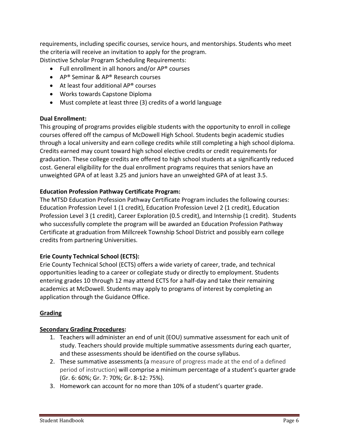requirements, including specific courses, service hours, and mentorships. Students who meet the criteria will receive an invitation to apply for the program. Distinctive Scholar Program Scheduling Requirements:

- Full enrollment in all honors and/or AP® courses
- AP® Seminar & AP® Research courses
- At least four additional AP® courses
- Works towards Capstone Diploma
- Must complete at least three (3) credits of a world language

# **Dual Enrollment:**

This grouping of programs provides eligible students with the opportunity to enroll in college courses offered off the campus of McDowell High School. Students begin academic studies through a local university and earn college credits while still completing a high school diploma. Credits earned may count toward high school elective credits or credit requirements for graduation. These college credits are offered to high school students at a significantly reduced cost. General eligibility for the dual enrollment programs requires that seniors have an unweighted GPA of at least 3.25 and juniors have an unweighted GPA of at least 3.5.

# **Education Profession Pathway Certificate Program:**

The MTSD Education Profession Pathway Certificate Program includes the following courses: Education Profession Level 1 (1 credit), Education Profession Level 2 (1 credit), Education Profession Level 3 (1 credit), Career Exploration (0.5 credit), and Internship (1 credit). Students who successfully complete the program will be awarded an Education Profession Pathway Certificate at graduation from Millcreek Township School District and possibly earn college credits from partnering Universities.

# **Erie County Technical School (ECTS):**

Erie County Technical School (ECTS) offers a wide variety of career, trade, and technical opportunities leading to a career or collegiate study or directly to employment. Students entering grades 10 through 12 may attend ECTS for a half-day and take their remaining academics at McDowell. Students may apply to programs of interest by completing an application through the Guidance Office.

# **Grading**

#### **Secondary Grading Procedures:**

- 1. Teachers will administer an end of unit (EOU) summative assessment for each unit of study. Teachers should provide multiple summative assessments during each quarter, and these assessments should be identified on the course syllabus.
- 2. These summative assessments (a measure of progress made at the end of a defined period of instruction) will comprise a minimum percentage of a student's quarter grade (Gr. 6: 60%; Gr. 7: 70%; Gr. 8-12: 75%).
- 3. Homework can account for no more than 10% of a student's quarter grade.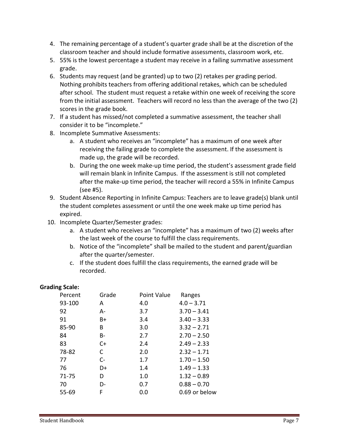- 4. The remaining percentage of a student's quarter grade shall be at the discretion of the classroom teacher and should include formative assessments, classroom work, etc.
- 5. 55% is the lowest percentage a student may receive in a failing summative assessment grade.
- 6. Students may request (and be granted) up to two (2) retakes per grading period. Nothing prohibits teachers from offering additional retakes, which can be scheduled after school. The student must request a retake within one week of receiving the score from the initial assessment. Teachers will record no less than the average of the two (2) scores in the grade book.
- 7. If a student has missed/not completed a summative assessment, the teacher shall consider it to be "incomplete."
- 8. Incomplete Summative Assessments:
	- a. A student who receives an "incomplete" has a maximum of one week after receiving the failing grade to complete the assessment. If the assessment is made up, the grade will be recorded.
	- b. During the one week make-up time period, the student's assessment grade field will remain blank in Infinite Campus. If the assessment is still not completed after the make-up time period, the teacher will record a 55% in Infinite Campus (see #5).
- 9. Student Absence Reporting in Infinite Campus: Teachers are to leave grade(s) blank until the student completes assessment or until the one week make up time period has expired.
- 10. Incomplete Quarter/Semester grades:
	- a. A student who receives an "incomplete" has a maximum of two (2) weeks after the last week of the course to fulfill the class requirements.
	- b. Notice of the "incomplete" shall be mailed to the student and parent/guardian after the quarter/semester.
	- c. If the student does fulfill the class requirements, the earned grade will be recorded.

# **Grading Scale:**

| Percent | Grade | Point Value | Ranges        |
|---------|-------|-------------|---------------|
| 93-100  | A     | 4.0         | $4.0 - 3.71$  |
| 92      | А-    | 3.7         | $3.70 - 3.41$ |
| 91      | B+    | 3.4         | $3.40 - 3.33$ |
| 85-90   | B     | 3.0         | $3.32 - 2.71$ |
| 84      | B-    | 2.7         | $2.70 - 2.50$ |
| 83      | $C+$  | 2.4         | $2.49 - 2.33$ |
| 78-82   | C     | 2.0         | $2.32 - 1.71$ |
| 77      | $C-$  | 1.7         | $1.70 - 1.50$ |
| 76      | D+    | 1.4         | $1.49 - 1.33$ |
| 71-75   | D     | 1.0         | $1.32 - 0.89$ |
| 70      | D-    | 0.7         | $0.88 - 0.70$ |
| 55-69   | F     | 0.0         | 0.69 or below |
|         |       |             |               |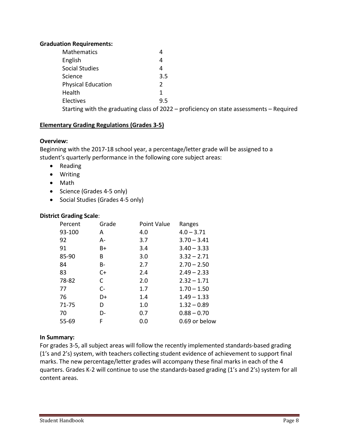### **Graduation Requirements:**

| <b>Mathematics</b>                                                                           | 4             |  |  |
|----------------------------------------------------------------------------------------------|---------------|--|--|
| English                                                                                      | 4             |  |  |
| <b>Social Studies</b>                                                                        | 4             |  |  |
| Science                                                                                      | 3.5           |  |  |
| <b>Physical Education</b>                                                                    | $\mathcal{P}$ |  |  |
| Health                                                                                       |               |  |  |
| Electives                                                                                    | 9.5           |  |  |
| Starting with the graduating class of $2022 -$ proficiency on state assessments $-$ Required |               |  |  |

# **Elementary Grading Regulations (Grades 3-5)**

#### **Overview:**

Beginning with the 2017-18 school year, a percentage/letter grade will be assigned to a student's quarterly performance in the following core subject areas:

- Reading
- Writing
- Math
- Science (Grades 4-5 only)
- Social Studies (Grades 4-5 only)

#### **District Grading Scale**:

| Percent | Grade | Point Value | Ranges        |
|---------|-------|-------------|---------------|
| 93-100  | А     | 4.0         | $4.0 - 3.71$  |
| 92      | А-    | 3.7         | $3.70 - 3.41$ |
| 91      | B+    | 3.4         | $3.40 - 3.33$ |
| 85-90   | B     | 3.0         | $3.32 - 2.71$ |
| 84      | B-    | 2.7         | $2.70 - 2.50$ |
| 83      | $C+$  | 2.4         | $2.49 - 2.33$ |
| 78-82   | C     | 2.0         | $2.32 - 1.71$ |
| 77      | $C-$  | 1.7         | $1.70 - 1.50$ |
| 76      | D+    | 1.4         | $1.49 - 1.33$ |
| 71-75   | D     | 1.0         | $1.32 - 0.89$ |
| 70      | D-    | 0.7         | $0.88 - 0.70$ |
| 55-69   | F     | 0.0         | 0.69 or below |

#### **In Summary:**

For grades 3-5, all subject areas will follow the recently implemented standards-based grading (1's and 2's) system, with teachers collecting student evidence of achievement to support final marks. The new percentage/letter grades will accompany these final marks in each of the 4 quarters. Grades K-2 will continue to use the standards-based grading (1's and 2's) system for all content areas.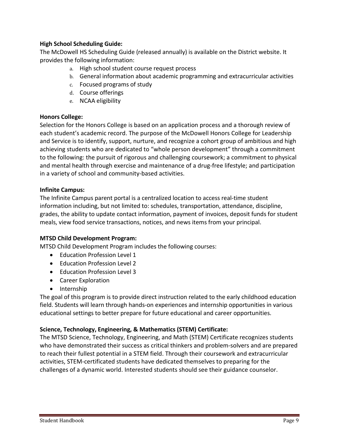# **High School Scheduling Guide:**

The McDowell HS Scheduling Guide (released annually) is available on the District website. It provides the following information:

- a. High school student course request process
- b. General information about academic programming and extracurricular activities
- c. Focused programs of study
- d. Course offerings
- e. NCAA eligibility

#### **Honors College:**

Selection for the Honors College is based on an application process and a thorough review of each student's academic record. The purpose of the McDowell Honors College for Leadership and Service is to identify, support, nurture, and recognize a cohort group of ambitious and high achieving students who are dedicated to "whole person development" through a commitment to the following: the pursuit of rigorous and challenging coursework; a commitment to physical and mental health through exercise and maintenance of a drug-free lifestyle; and participation in a variety of school and community-based activities.

# **Infinite Campus:**

The Infinite Campus parent portal is a centralized location to access real-time student information including, but not limited to: schedules, transportation, attendance, discipline, grades, the ability to update contact information, payment of invoices, deposit funds for student meals, view food service transactions, notices, and news items from your principal.

#### **MTSD Child Development Program:**

MTSD Child Development Program includes the following courses:

- Education Profession Level 1
- Education Profession Level 2
- Education Profession Level 3
- Career Exploration
- Internship

The goal of this program is to provide direct instruction related to the early childhood education field. Students will learn through hands-on experiences and internship opportunities in various educational settings to better prepare for future educational and career opportunities.

# **Science, Technology, Engineering, & Mathematics (STEM) Certificate:**

The MTSD Science, Technology, Engineering, and Math (STEM) Certificate recognizes students who have demonstrated their success as critical thinkers and problem-solvers and are prepared to reach their fullest potential in a STEM field. Through their coursework and extracurricular activities, STEM-certificated students have dedicated themselves to preparing for the challenges of a dynamic world. Interested students should see their guidance counselor.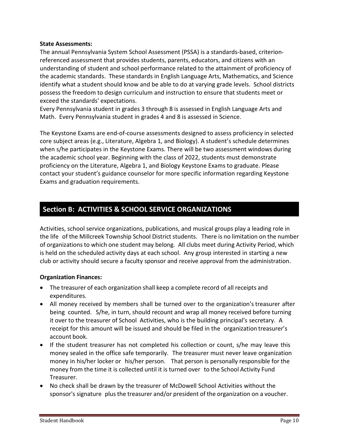#### **State Assessments:**

The annual Pennsylvania System School Assessment (PSSA) is a standards-based, criterionreferenced assessment that provides students, parents, educators, and citizens with an understanding of student and school performance related to the attainment of proficiency of the academic standards. These standards in English Language Arts, Mathematics, and Science identify what a student should know and be able to do at varying grade levels. School districts possess the freedom to design curriculum and instruction to ensure that students meet or exceed the standards' expectations.

Every Pennsylvania student in grades 3 through 8 is assessed in English Language Arts and Math. Every Pennsylvania student in grades 4 and 8 is assessed in Science.

The Keystone Exams are end-of-course assessments designed to assess proficiency in selected core subject areas (e.g., Literature, Algebra 1, and Biology). A student's schedule determines when s/he participates in the Keystone Exams. There will be two assessment windows during the academic school year. Beginning with the class of 2022, students must demonstrate proficiency on the Literature, Algebra 1, and Biology Keystone Exams to graduate. Please contact your student's guidance counselor for more specific information regarding Keystone Exams and graduation requirements.

# **Section B: ACTIVITIES & SCHOOL SERVICE ORGANIZATIONS**

Activities, school service organizations, publications, and musical groups play a leading role in the life of the Millcreek Township School District students. There is no limitation on the number of organizations to which one student may belong. All clubs meet during Activity Period, which is held on the scheduled activity days at each school. Any group interested in starting a new club or activity should secure a faculty sponsor and receive approval from the administration.

# **Organization Finances:**

- The treasurer of each organization shall keep a complete record of all receipts and expenditures.
- All money received by members shall be turned over to the organization's treasurer after being counted. S/he, in turn, should recount and wrap all money received before turning it over to the treasurer of School Activities, who is the building principal's secretary. A receipt for this amount will be issued and should be filed in the organization treasurer's account book.
- If the student treasurer has not completed his collection or count, s/he may leave this money sealed in the office safe temporarily. The treasurer must never leave organization money in his/her locker or his/her person. That person is personally responsible for the money from the time it is collected until it is turned over to the School Activity Fund Treasurer.
- No check shall be drawn by the treasurer of McDowell School Activities without the sponsor's signature plus the treasurer and/or president of the organization on a voucher.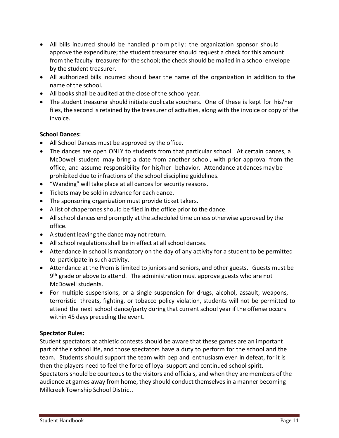- All bills incurred should be handled promptly: the organization sponsor should approve the expenditure; the student treasurer should request a check for this amount from the faculty treasurer for the school; the check should be mailed in a school envelope by the student treasurer.
- All authorized bills incurred should bear the name of the organization in addition to the name of the school.
- All books shall be audited at the close of the school year.
- The student treasurer should initiate duplicate vouchers. One of these is kept for his/her files, the second is retained by the treasurer of activities, along with the invoice or copy of the invoice.

# **School Dances:**

- All School Dances must be approved by the office.
- The dances are open ONLY to students from that particular school. At certain dances, a McDowell student may bring a date from another school, with prior approval from the office, and assume responsibility for his/her behavior. Attendance at dances may be prohibited due to infractions of the school discipline guidelines.
- "Wanding" will take place at all dances for security reasons.
- Tickets may be sold in advance for each dance.
- The sponsoring organization must provide ticket takers.
- A list of chaperones should be filed in the office prior to the dance.
- All school dances end promptly at the scheduled time unless otherwise approved by the office.
- A student leaving the dance may not return.
- All school regulations shall be in effect at all school dances.
- Attendance in school is mandatory on the day of any activity for a student to be permitted to participate in such activity.
- Attendance at the Prom is limited to juniors and seniors, and other guests. Guests must be  $9<sup>th</sup>$  grade or above to attend. The administration must approve guests who are not McDowell students.
- For multiple suspensions, or a single suspension for drugs, alcohol, assault, weapons, terroristic threats, fighting, or tobacco policy violation, students will not be permitted to attend the next school dance/party during that current school year if the offense occurs within 45 days preceding the event.

# **Spectator Rules:**

Student spectators at athletic contests should be aware that these games are an important part of their school life, and those spectators have a duty to perform for the school and the team. Students should support the team with pep and enthusiasm even in defeat, for it is then the players need to feel the force of loyal support and continued school spirit. Spectators should be courteous to the visitors and officials, and when they are members of the audience at games away from home, they should conduct themselvesin a manner becoming Millcreek Township School District.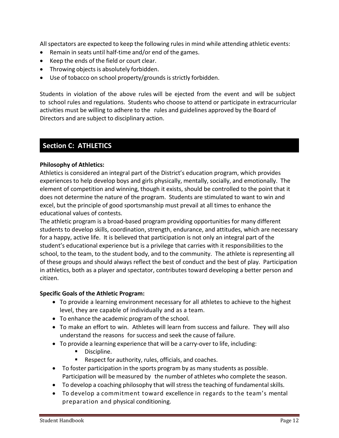All spectators are expected to keep the following rules in mind while attending athletic events:

- Remain in seats until half-time and/or end of the games.
- Keep the ends of the field or court clear.
- Throwing objects is absolutely forbidden.
- Use of tobacco on school property/grounds is strictly forbidden.

Students in violation of the above rules will be ejected from the event and will be subject to school rules and regulations. Students who choose to attend or participate in extracurricular activities must be willing to adhere to the rules and guidelines approved by the Board of Directors and are subject to disciplinary action.

# **Section C: ATHLETICS**

# **Philosophy of Athletics:**

Athletics is considered an integral part of the District's education program, which provides experiences to help develop boys and girls physically, mentally, socially, and emotionally. The element of competition and winning, though it exists, should be controlled to the point that it does not determine the nature of the program. Students are stimulated to want to win and excel, but the principle of good sportsmanship must prevail at all times to enhance the educational values of contests.

The athletic program is a broad-based program providing opportunities for many different students to develop skills, coordination, strength, endurance, and attitudes, which are necessary for a happy, active life. It is believed that participation is not only an integral part of the student's educational experience but is a privilege that carries with it responsibilities to the school, to the team, to the student body, and to the community. The athlete is representing all of these groups and should always reflect the best of conduct and the best of play. Participation in athletics, both as a player and spectator, contributes toward developing a better person and citizen.

#### **Specific Goals of the Athletic Program:**

- To provide a learning environment necessary for all athletes to achieve to the highest level, they are capable of individually and as a team.
- To enhance the academic program of the school.
- To make an effort to win. Athletes will learn from success and failure. They will also understand the reasons for success and seek the cause of failure.
- To provide a learning experience that will be a carry-over to life, including:
	- Discipline.
	- Respect for authority, rules, officials, and coaches.
- To foster participation in the sports program by as many students as possible. Participation will be measured by the number of athletes who complete the season.
- To develop a coaching philosophy that will stress the teaching of fundamental skills.
- To develop a commitment toward excellence in regards to the team's mental preparation and physical conditioning.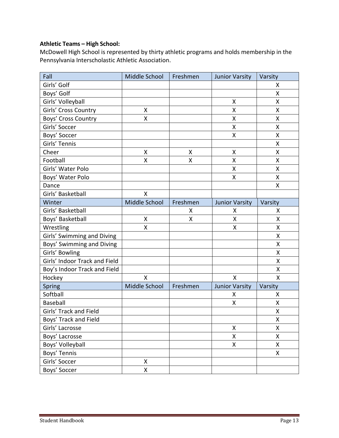# **Athletic Teams – High School:**

McDowell High School is represented by thirty athletic programs and holds membership in the Pennsylvania Interscholastic Athletic Association.

| Fall                          | Middle School | Freshmen | <b>Junior Varsity</b> | Varsity            |
|-------------------------------|---------------|----------|-----------------------|--------------------|
| Girls' Golf                   |               |          |                       | X                  |
| Boys' Golf                    |               |          |                       | Χ                  |
| Girls' Volleyball             |               |          | Χ                     | Χ                  |
| Girls' Cross Country          | Χ             |          | Χ                     | Χ                  |
| Boys' Cross Country           | X             |          | Χ                     | Χ                  |
| Girls' Soccer                 |               |          | X                     | X                  |
| Boys' Soccer                  |               |          | Χ                     | Χ                  |
| Girls' Tennis                 |               |          |                       | X                  |
| Cheer                         | Χ             | X        | X                     | X                  |
| Football                      | X             | X        | X                     | X                  |
| Girls' Water Polo             |               |          | X                     | Χ                  |
| Boys' Water Polo              |               |          | Χ                     | Χ                  |
| Dance                         |               |          |                       | Χ                  |
| Girls' Basketball             | Χ             |          |                       |                    |
| Winter                        | Middle School | Freshmen | <b>Junior Varsity</b> | Varsity            |
| Girls' Basketball             |               | X        | X                     | X                  |
| Boys' Basketball              | Χ             | Χ        | X                     | X                  |
| Wrestling                     | Χ             |          | Χ                     | Χ                  |
| Girls' Swimming and Diving    |               |          |                       | Χ                  |
| Boys' Swimming and Diving     |               |          |                       | $\pmb{\mathsf{X}}$ |
| Girls' Bowling                |               |          |                       | X                  |
| Girls' Indoor Track and Field |               |          |                       | Χ                  |
| Boy's Indoor Track and Field  |               |          |                       | X                  |
| Hockey                        | Χ             |          | $\pmb{\mathsf{X}}$    | X                  |
| Spring                        | Middle School | Freshmen | <b>Junior Varsity</b> | Varsity            |
| Softball                      |               |          | Χ                     | X                  |
| <b>Baseball</b>               |               |          | Χ                     | X                  |
| Girls' Track and Field        |               |          |                       | X                  |
| Boys' Track and Field         |               |          |                       | X                  |
| Girls' Lacrosse               |               |          | Χ                     | Χ                  |
| Boys' Lacrosse                |               |          | Χ                     | X                  |
| Boys' Volleyball              |               |          | X                     | Χ                  |
| Boys' Tennis                  |               |          |                       | Χ                  |
| Girls' Soccer                 | Χ             |          |                       |                    |
| Boys' Soccer                  | X             |          |                       |                    |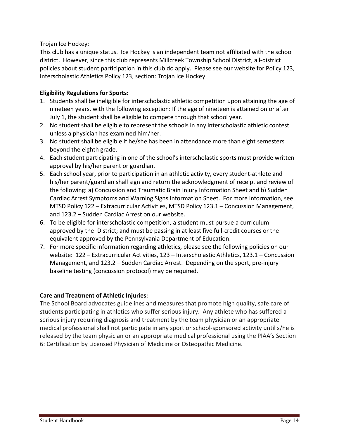Trojan Ice Hockey:

This club has a unique status. Ice Hockey is an independent team not affiliated with the school district. However, since this club represents Millcreek Township School District, all-district policies about student participation in this club do apply. Please see our website for Policy 123, Interscholastic Athletics Policy 123, section: Trojan Ice Hockey.

# **Eligibility Regulations for Sports:**

- 1. Students shall be ineligible for interscholastic athletic competition upon attaining the age of nineteen years, with the following exception: If the age of nineteen is attained on or after July 1, the student shall be eligible to compete through that school year.
- 2. No student shall be eligible to represent the schools in any interscholastic athletic contest unless a physician has examined him/her.
- 3. No student shall be eligible if he/she has been in attendance more than eight semesters beyond the eighth grade.
- 4. Each student participating in one of the school's interscholastic sports must provide written approval by his/her parent or guardian.
- 5. Each school year, prior to participation in an athletic activity, every student-athlete and his/her parent/guardian shall sign and return the acknowledgment of receipt and review of the following: a) Concussion and Traumatic Brain Injury Information Sheet and b) Sudden Cardiac Arrest Symptoms and Warning Signs Information Sheet. For more information, see MTSD Policy 122 – Extracurricular Activities, MTSD Policy 123.1 – Concussion Management, and 123.2 – Sudden Cardiac Arrest on our website.
- 6. To be eligible for interscholastic competition, a student must pursue a curriculum approved by the District; and must be passing in at least five full-credit courses or the equivalent approved by the Pennsylvania Department of Education.
- 7. For more specific information regarding athletics, please see the following policies on our website: 122 – Extracurricular Activities, 123 – Interscholastic Athletics, 123.1 – Concussion Management, and 123.2 – Sudden Cardiac Arrest. Depending on the sport, pre-injury baseline testing (concussion protocol) may be required.

# **Care and Treatment of Athletic Injuries:**

The School Board advocates guidelines and measures that promote high quality, safe care of students participating in athletics who suffer serious injury. Any athlete who has suffered a serious injury requiring diagnosis and treatment by the team physician or an appropriate medical professional shall not participate in any sport or school-sponsored activity until s/he is released by the team physician or an appropriate medical professional using the PIAA's Section 6: Certification by Licensed Physician of Medicine or Osteopathic Medicine.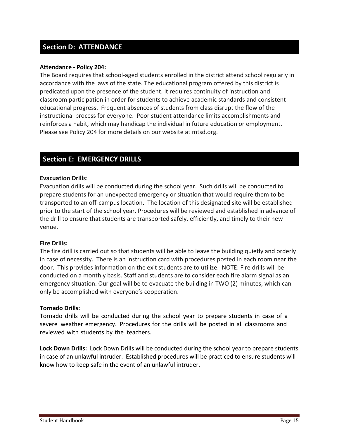# **Section D: ATTENDANCE**

#### **Attendance - Policy 204:**

The Board requires that school-aged students enrolled in the district attend school regularly in accordance with the laws of the state. The educational program offered by this district is predicated upon the presence of the student. It requires continuity of instruction and classroom participation in order for students to achieve academic standards and consistent educational progress. Frequent absences of students from class disrupt the flow of the instructional process for everyone. Poor student attendance limits accomplishments and reinforces a habit, which may handicap the individual in future education or employment. Please see Policy 204 for more details on our website at mtsd.org.

# **Section E: EMERGENCY DRILLS**

#### **Evacuation Drills**:

Evacuation drills will be conducted during the school year. Such drills will be conducted to prepare students for an unexpected emergency or situation that would require them to be transported to an off-campus location. The location of this designated site will be established prior to the start of the school year. Procedures will be reviewed and established in advance of the drill to ensure that students are transported safely, efficiently, and timely to their new venue.

#### **Fire Drills:**

The fire drill is carried out so that students will be able to leave the building quietly and orderly in case of necessity. There is an instruction card with procedures posted in each room near the door. This provides information on the exit students are to utilize. NOTE: Fire drills will be conducted on a monthly basis. Staff and students are to consider each fire alarm signal as an emergency situation. Our goal will be to evacuate the building in TWO (2) minutes, which can only be accomplished with everyone's cooperation.

#### **Tornado Drills:**

Tornado drills will be conducted during the school year to prepare students in case of a severe weather emergency. Procedures for the drills will be posted in all classrooms and reviewed with students by the teachers.

**Lock Down Drills:** Lock Down Drills will be conducted during the school year to prepare students in case of an unlawful intruder. Established procedures will be practiced to ensure students will know how to keep safe in the event of an unlawful intruder.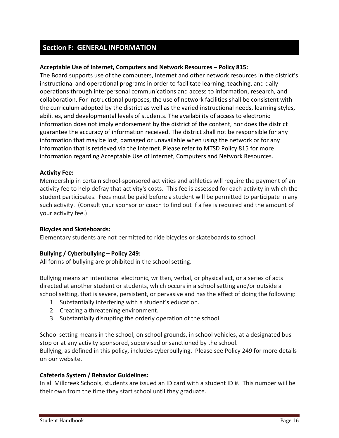# **Section F: GENERAL INFORMATION**

## **Acceptable Use of Internet, Computers and Network Resources – Policy 815:**

The Board supports use of the computers, Internet and other network resources in the district's instructional and operational programs in order to facilitate learning, teaching, and daily operations through interpersonal communications and access to information, research, and collaboration. For instructional purposes, the use of network facilities shall be consistent with the curriculum adopted by the district as well as the varied instructional needs, learning styles, abilities, and developmental levels of students. The availability of access to electronic information does not imply endorsement by the district of the content, nor does the district guarantee the accuracy of information received. The district shall not be responsible for any information that may be lost, damaged or unavailable when using the network or for any information that is retrieved via the Internet. Please refer to MTSD Policy 815 for more information regarding Acceptable Use of Internet, Computers and Network Resources.

#### **Activity Fee:**

Membership in certain school-sponsored activities and athletics will require the payment of an activity fee to help defray that activity's costs. This fee is assessed for each activity in which the student participates. Fees must be paid before a student will be permitted to participate in any such activity. (Consult your sponsor or coach to find out if a fee is required and the amount of your activity fee.)

#### **Bicycles and Skateboards:**

Elementary students are not permitted to ride bicycles or skateboards to school.

#### **Bullying / Cyberbullying – Policy 249:**

All forms of bullying are prohibited in the school setting.

Bullying means an intentional electronic, written, verbal, or physical act, or a series of acts directed at another student or students, which occurs in a school setting and/or outside a school setting, that is severe, persistent, or pervasive and has the effect of doing the following:

- 1. Substantially interfering with a student's education.
- 2. Creating a threatening environment.
- 3. Substantially disrupting the orderly operation of the school.

School setting means in the school, on school grounds, in school vehicles, at a designated bus stop or at any activity sponsored, supervised or sanctioned by the school. Bullying, as defined in this policy, includes cyberbullying. Please see Policy 249 for more details on our website.

#### **Cafeteria System / Behavior Guidelines:**

In all Millcreek Schools, students are issued an ID card with a student ID #. This number will be their own from the time they start school until they graduate.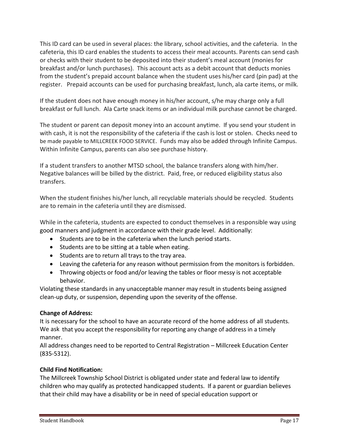This ID card can be used in several places: the library, school activities, and the cafeteria. In the cafeteria, this ID card enables the students to access their meal accounts. Parents can send cash or checks with their student to be deposited into their student's meal account (monies for breakfast and/or lunch purchases). This account acts as a debit account that deducts monies from the student's prepaid account balance when the student uses his/her card (pin pad) at the register. Prepaid accounts can be used for purchasing breakfast, lunch, ala carte items, or milk.

If the student does not have enough money in his/her account, s/he may charge only a full breakfast or full lunch. Ala Carte snack items or an individual milk purchase cannot be charged.

The student or parent can deposit money into an account anytime. If you send your student in with cash, it is not the responsibility of the cafeteria if the cash is lost or stolen. Checks need to be made payable to MILLCREEK FOOD SERVICE. Funds may also be added through Infinite Campus. Within Infinite Campus, parents can also see purchase history.

If a student transfers to another MTSD school, the balance transfers along with him/her. Negative balances will be billed by the district. Paid, free, or reduced eligibility status also transfers.

When the student finishes his/her lunch, all recyclable materials should be recycled. Students are to remain in the cafeteria until they are dismissed.

While in the cafeteria, students are expected to conduct themselves in a responsible way using good manners and judgment in accordance with their grade level. Additionally:

- Students are to be in the cafeteria when the lunch period starts.
- Students are to be sitting at a table when eating.
- Students are to return all trays to the tray area.
- Leaving the cafeteria for any reason without permission from the monitors is forbidden.
- Throwing objects or food and/or leaving the tables or floor messy is not acceptable behavior.

Violating these standards in any unacceptable manner may result in students being assigned clean-up duty, or suspension, depending upon the severity of the offense.

# **Change of Address:**

It is necessary for the school to have an accurate record of the home address of all students. We ask that you accept the responsibility for reporting any change of address in a timely manner.

All address changes need to be reported to Central Registration – Millcreek Education Center (835-5312).

# **Child Find Notification:**

The Millcreek Township School District is obligated under state and federal law to identify children who may qualify as protected handicapped students. If a parent or guardian believes that their child may have a disability or be in need of special education support or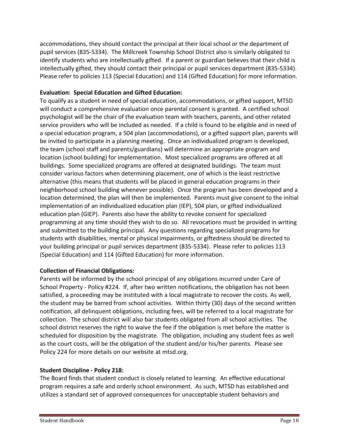accommodations, they should contact the principal at their local school or the department of pupil services (835-5334). The Millcreek Township School District also is similarly obligated to identify students who are intellectually gifted. If a parent or guardian believes that their child is intellectually gifted, they should contact their principal or pupil services department (835-5334). Please refer to policies 113 (Special Education) and 114 (Gifted Education) for more information.

# **Evaluation: Special Education and Gifted Education:**

To qualify as a student in need of special education, accommodations, or gifted support, MTSD will conduct a comprehensive evaluation once parental consent is granted. A certified school psychologist will be the chair of the evaluation team with teachers, parents, and other related service providers who will be included as needed. If a child is found to be eligible and in need of a special education program, a 504 plan (accommodations), or a gifted support plan, parents will be invited to participate in a planning meeting. Once an individualized program is developed, the team (school staff and parents/guardians) will determine an appropriate program and location (school building) for implementation. Most specialized programs are offered at all buildings. Some specialized programs are offered at designated buildings. The team must consider various factors when determining placement, one of which is the least restrictive alternative (this means that students will be placed in general education programs in their neighborhood school building whenever possible). Once the program has been developed and a location determined, the plan will then be implemented. Parents must give consent to the initial implementation of an individualized education plan (IEP), 504 plan, or gifted individualized education plan (GIEP). Parents also have the ability to revoke consent for specialized programming at any time should they wish to do so. All revocations must be provided in writing and submitted to the building principal. Any questions regarding specialized programs for students with disabilities, mental or physical impairments, or giftedness should be directed to your building principal or pupil services department (835-5334). Please refer to policies 113 (Special Education) and 114 (Gifted Education) for more information.

# **Collection of Financial Obligations:**

Parents will be informed by the school principal of any obligations incurred under Care of School Property - Policy #224. If, after two written notifications, the obligation has not been satisfied, a proceeding may be instituted with a local magistrate to recover the costs. As well, the student may be barred from school activities. Within thirty (30) days of the second written notification, all delinquent obligations, including fees, will be referred to a local magistrate for collection. The school district will also bar students obligated from all school activities. The school district reserves the right to waive the fee if the obligation is met before the matter is scheduled for disposition by the magistrate. The obligation, including any student fees as well as the court costs, will be the obligation of the student and/or his/her parents. Please see Policy 224 for more details on our website at mtsd.org.

# **Student Discipline - Policy 218:**

The Board finds that student conduct is closely related to learning. An effective educational program requires a safe and orderly school environment. As such, MTSD has established and utilizes a standard set of approved consequences for unacceptable student behaviors and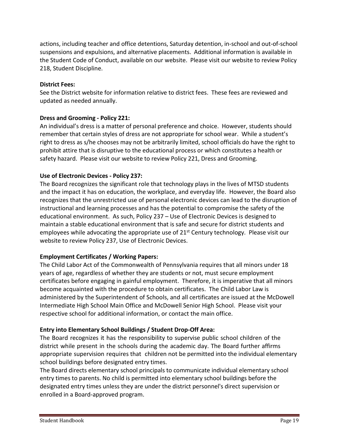actions, including teacher and office detentions, Saturday detention, in-school and out-of-school suspensions and expulsions, and alternative placements. Additional information is available in the Student Code of Conduct, available on our website. Please visit our website to review Policy 218, Student Discipline.

#### **District Fees:**

See the District website for information relative to district fees. These fees are reviewed and updated as needed annually.

# **Dress and Grooming - Policy 221:**

An individual's dress is a matter of personal preference and choice. However, students should remember that certain styles of dress are not appropriate for school wear. While a student's right to dress as s/he chooses may not be arbitrarily limited, school officials do have the right to prohibit attire that is disruptive to the educational process or which constitutes a health or safety hazard. Please visit our website to review Policy 221, Dress and Grooming.

# **Use of Electronic Devices - Policy 237:**

The Board recognizes the significant role that technology plays in the lives of MTSD students and the impact it has on education, the workplace, and everyday life. However, the Board also recognizes that the unrestricted use of personal electronic devices can lead to the disruption of instructional and learning processes and has the potential to compromise the safety of the educational environment. As such, Policy 237 – Use of Electronic Devices is designed to maintain a stable educational environment that is safe and secure for district students and employees while advocating the appropriate use of  $21^{st}$  Century technology. Please visit our website to review Policy 237, Use of Electronic Devices.

# **Employment Certificates / Working Papers:**

The Child Labor Act of the Commonwealth of Pennsylvania requires that all minors under 18 years of age, regardless of whether they are students or not, must secure employment certificates before engaging in gainful employment. Therefore, it is imperative that all minors become acquainted with the procedure to obtain certificates. The Child Labor Law is administered by the Superintendent of Schools, and all certificates are issued at the McDowell Intermediate High School Main Office and McDowell Senior High School. Please visit your respective school for additional information, or contact the main office.

# **Entry into Elementary School Buildings / Student Drop-Off Area:**

The Board recognizes it has the responsibility to supervise public school children of the district while present in the schools during the academic day. The Board further affirms appropriate supervision requires that children not be permitted into the individual elementary school buildings before designated entry times.

The Board directs elementary school principals to communicate individual elementary school entry times to parents. No child is permitted into elementary school buildings before the designated entry times unless they are under the district personnel's direct supervision or enrolled in a Board-approved program.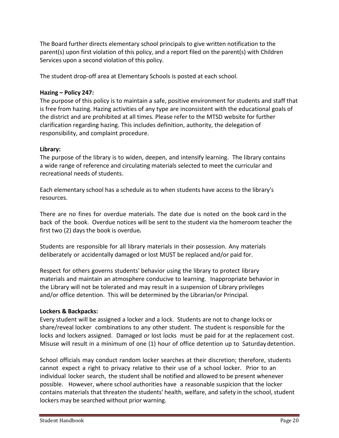The Board further directs elementary school principals to give written notification to the parent(s) upon first violation of this policy, and a report filed on the parent(s) with Children Services upon a second violation of this policy.

The student drop-off area at Elementary Schools is posted at each school.

# **Hazing – Policy 247:**

The purpose of this policy is to maintain a safe, positive environment for students and staff that is free from hazing. Hazing activities of any type are inconsistent with the educational goals of the district and are prohibited at all times. Please refer to the MTSD website for further clarification regarding hazing. This includes definition, authority, the delegation of responsibility, and complaint procedure.

# **Library:**

The purpose of the library is to widen, deepen, and intensify learning. The library contains a wide range of reference and circulating materials selected to meet the curricular and recreational needs of students.

Each elementary school has a schedule as to when students have access to the library's resources.

There are no fines for overdue materials. The date due is noted on the book card in the back of the book. Overdue notices will be sent to the student via the homeroom teacher the first two (2) days the book is overdue*.*

Students are responsible for all library materials in their possession. Any materials deliberately or accidentally damaged or lost MUST be replaced and/or paid for.

Respect for others governs students' behavior using the library to protect library materials and maintain an atmosphere conducive to learning. Inappropriate behavior in the Library will not be tolerated and may result in a suspension of Library privileges and/or office detention. This will be determined by the Librarian/or Principal.

# **Lockers & Backpacks:**

Every student will be assigned a locker and a lock. Students are not to change locks or share/reveal locker combinations to any other student. The student is responsible for the locks and lockers assigned. Damaged or lost locks must be paid for at the replacement cost. Misuse will result in a minimum of one (1) hour of office detention up to Saturday detention.

School officials may conduct random locker searches at their discretion; therefore, students cannot expect a right to privacy relative to their use of a school locker. Prior to an individual locker search, the student shall be notified and allowed to be present whenever possible. However, where school authorities have a reasonable suspicion that the locker contains materials that threaten the students' health, welfare, and safety in the school, student lockers may be searched without prior warning.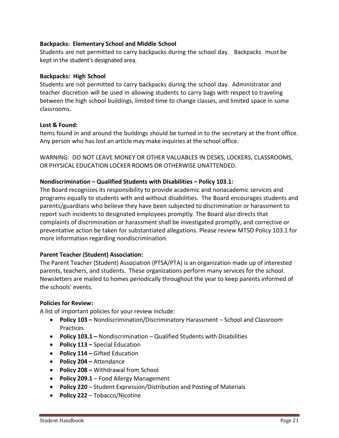# **Backpacks: Elementary School and Middle School**

Students are not permitted to carry backpacks during the school day. Backpacks must be kept in the student's designated area.

#### **Backpacks: High School**

Students are not permitted to carry backpacks during the school day. Administrator and teacher discretion will be used in allowing students to carry bags with respect to traveling between the high school buildings, limited time to change classes, and limited space in some classrooms.

#### **Lost & Found:**

Items found in and around the buildings should be turned in to the secretary at the front office. Any person who has lost an article may make inquiries at the school office.

WARNING: DO NOT LEAVE MONEY OR OTHER VALUABLES IN DESKS, LOCKERS, CLASSROOMS, OR PHYSICAL EDUCATION LOCKER ROOMS OR OTHERWISE UNATTENDED.

#### **Nondiscrimination – Qualified Students with Disabilities – Policy 103.1:**

The Board recognizes its responsibility to provide academic and nonacademic services and programs equally to students with and without disabilities. The Board encourages students and parents/guardians who believe they have been subjected to discrimination or harassment to report such incidents to designated employees promptly. The Board also directs that complaints of discrimination or harassment shall be investigated promptly, and corrective or preventative action be taken for substantiated allegations. Please review MTSD Policy 103.1 for more information regarding nondiscrimination.

#### **Parent Teacher (Student) Association:**

The Parent Teacher (Student) Association (PTSA/PTA) is an organization made up of interested parents, teachers, and students. These organizations perform many services for the school. Newsletters are mailed to homes periodically throughout the year to keep parents informed of the schools' events.

#### **Policies for Review:**

A list of important policies for your review include:

- **Policy 103 –** Nondiscrimination/Discriminatory Harassment School and Classroom Practices
- **Policy 103.1 –** Nondiscrimination Qualified Students with Disabilities
- **Policy 113 –** Special Education
- **Policy 114 –** Gifted Education
- **Policy 204 –** Attendance
- **Policy 208 –** Withdrawal from School
- **Policy 209.1** Food Allergy Management
- **Policy 220**  Student Expression/Distribution and Posting of Materials
- **Policy 222**  Tobacco/Nicotine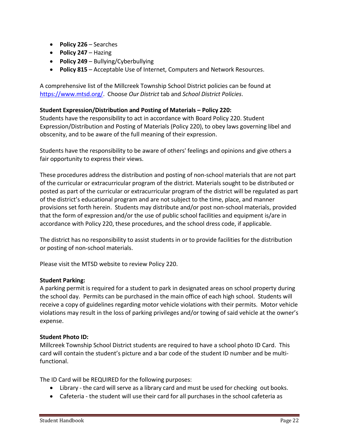- **Policy 226**  Searches
- **Policy 247**  Hazing
- **Policy 249**  Bullying/Cyberbullying
- **Policy 815**  Acceptable Use of Internet, Computers and Network Resources.

A comprehensive list of the Millcreek Township School District policies can be found at [https://www.mtsd.org/.](https://www.mtsd.org/) Choose *Our District* tab and *School District Policies*.

# **Student Expression/Distribution and Posting of Materials – Policy 220:**

Students have the responsibility to act in accordance with Board Policy 220. Student Expression/Distribution and Posting of Materials (Policy 220), to obey laws governing libel and obscenity, and to be aware of the full meaning of their expression.

Students have the responsibility to be aware of others' feelings and opinions and give others a fair opportunity to express their views.

These procedures address the distribution and posting of non-school materials that are not part of the curricular or extracurricular program of the district. Materials sought to be distributed or posted as part of the curricular or extracurricular program of the district will be regulated as part of the district's educational program and are not subject to the time, place, and manner provisions set forth herein. Students may distribute and/or post non-school materials, provided that the form of expression and/or the use of public school facilities and equipment is/are in accordance with Policy 220, these procedures, and the school dress code, if applicable.

The district has no responsibility to assist students in or to provide facilities for the distribution or posting of non-school materials.

Please visit the MTSD website to review Policy 220.

#### **Student Parking:**

A parking permit is required for a student to park in designated areas on school property during the school day. Permits can be purchased in the main office of each high school. Students will receive a copy of guidelines regarding motor vehicle violations with their permits. Motor vehicle violations may result in the loss of parking privileges and/or towing of said vehicle at the owner's expense.

#### **Student Photo ID:**

Millcreek Township School District students are required to have a school photo ID Card. This card will contain the student's picture and a bar code of the student ID number and be multifunctional.

The ID Card will be REQUIRED for the following purposes:

- Library the card will serve as a library card and must be used for checking out books.
- Cafeteria the student will use their card for all purchases in the school cafeteria as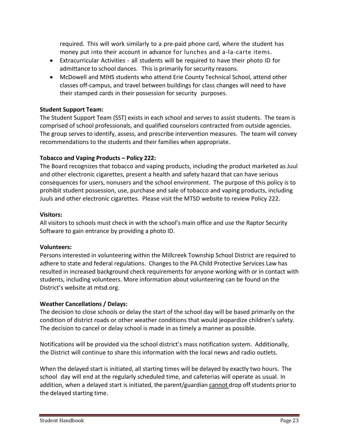required. This will work similarly to a pre-paid phone card, where the student has money put into their account in advance for lunches and a-la-carte items.

- Extracurricular Activities all students will be required to have their photo ID for admittance to school dances. This is primarily for security reasons.
- McDowell and MIHS students who attend Erie County Technical School, attend other classes off-campus, and travel between buildings for class changes will need to have their stamped cards in their possession for security purposes.

# **Student Support Team:**

The Student Support Team (SST) exists in each school and serves to assist students. The team is comprised of school professionals, and qualified counselors contracted from outside agencies. The group serves to identify, assess, and prescribe intervention measures. The team will convey recommendations to the students and their families when appropriate.

# **Tobacco and Vaping Products – Policy 222:**

The Board recognizes that tobacco and vaping products, including the product marketed as Juul and other electronic cigarettes, present a health and safety hazard that can have serious consequences for users, nonusers and the school environment. The purpose of this policy is to prohibit student possession, use, purchase and sale of tobacco and vaping products, including Juuls and other electronic cigarettes. Please visit the MTSD website to review Policy 222.

#### **Visitors:**

All visitors to schools must check in with the school's main office and use the Raptor Security Software to gain entrance by providing a photo ID.

#### **Volunteers:**

Persons interested in volunteering within the Millcreek Township School District are required to adhere to state and federal regulations. Changes to the PA Child Protective Services Law has resulted in increased background check requirements for anyone working with or in contact with students, including volunteers. More information about volunteering can be found on the District's website at mtsd.org.

# **Weather Cancellations / Delays:**

The decision to close schools or delay the start of the school day will be based primarily on the condition of district roads or other weather conditions that would jeopardize children's safety. The decision to cancel or delay school is made in as timely a manner as possible.

Notifications will be provided via the school district's mass notification system. Additionally, the District will continue to share this information with the local news and radio outlets.

When the delayed start is initiated, all starting times will be delayed by exactly two hours. The school day will end at the regularly scheduled time, and cafeterias will operate as usual. In addition, when a delayed start is initiated, the parent/guardian cannot drop off students prior to the delayed starting time.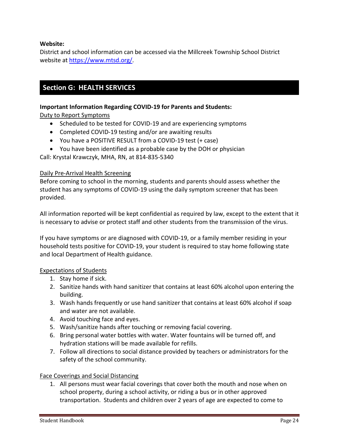# **Website:**

District and school information can be accessed via the Millcreek Township School District website at [https://www.mtsd.org/.](https://www.mtsd.org/)

# **Section G: HEALTH SERVICES**

### **Important Information Regarding COVID-19 for Parents and Students:**

Duty to Report Symptoms

- Scheduled to be tested for COVID-19 and are experiencing symptoms
- Completed COVID-19 testing and/or are awaiting results
- You have a POSITIVE RESULT from a COVID-19 test (+ case)
- You have been identified as a probable case by the DOH or physician

Call: Krystal Krawczyk, MHA, RN, at 814-835-5340

# Daily Pre-Arrival Health Screening

Before coming to school in the morning, students and parents should assess whether the student has any symptoms of COVID-19 using the daily symptom screener that has been provided.

All information reported will be kept confidential as required by law, except to the extent that it is necessary to advise or protect staff and other students from the transmission of the virus.

If you have symptoms or are diagnosed with COVID-19, or a family member residing in your household tests positive for COVID-19, your student is required to stay home following state and local Department of Health guidance.

#### Expectations of Students

- 1. Stay home if sick.
- 2. Sanitize hands with hand sanitizer that contains at least 60% alcohol upon entering the building.
- 3. Wash hands frequently or use hand sanitizer that contains at least 60% alcohol if soap and water are not available.
- 4. Avoid touching face and eyes.
- 5. Wash/sanitize hands after touching or removing facial covering.
- 6. Bring personal water bottles with water. Water fountains will be turned off, and hydration stations will be made available for refills.
- 7. Follow all directions to social distance provided by teachers or administrators for the safety of the school community.

# Face Coverings and Social Distancing

1. All persons must wear facial coverings that cover both the mouth and nose when on school property, during a school activity, or riding a bus or in other approved transportation. Students and children over 2 years of age are expected to come to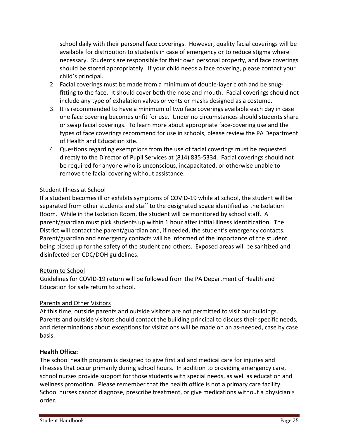school daily with their personal face coverings. However, quality facial coverings will be available for distribution to students in case of emergency or to reduce stigma where necessary. Students are responsible for their own personal property, and face coverings should be stored appropriately. If your child needs a face covering, please contact your child's principal.

- 2. Facial coverings must be made from a minimum of double-layer cloth and be snugfitting to the face. It should cover both the nose and mouth. Facial coverings should not include any type of exhalation valves or vents or masks designed as a costume.
- 3. It is recommended to have a minimum of two face coverings available each day in case one face covering becomes unfit for use. Under no circumstances should students share or swap facial coverings. To learn more about appropriate face-covering use and the types of face coverings recommend for use in schools, please review the PA Department of Health and Education site.
- 4. Questions regarding exemptions from the use of facial coverings must be requested directly to the Director of Pupil Services at (814) 835-5334. Facial coverings should not be required for anyone who is unconscious, incapacitated, or otherwise unable to remove the facial covering without assistance.

# Student Illness at School

If a student becomes ill or exhibits symptoms of COVID-19 while at school, the student will be separated from other students and staff to the designated space identified as the Isolation Room. While in the Isolation Room, the student will be monitored by school staff. A parent/guardian must pick students up within 1 hour after initial illness identification. The District will contact the parent/guardian and, if needed, the student's emergency contacts. Parent/guardian and emergency contacts will be informed of the importance of the student being picked up for the safety of the student and others. Exposed areas will be sanitized and disinfected per CDC/DOH guidelines.

#### Return to School

Guidelines for COVID-19 return will be followed from the PA Department of Health and Education for safe return to school.

# Parents and Other Visitors

At this time, outside parents and outside visitors are not permitted to visit our buildings. Parents and outside visitors should contact the building principal to discuss their specific needs, and determinations about exceptions for visitations will be made on an as-needed, case by case basis.

#### **Health Office:**

The school health program is designed to give first aid and medical care for injuries and illnesses that occur primarily during school hours. In addition to providing emergency care, school nurses provide support for those students with special needs, as well as education and wellness promotion. Please remember that the health office is not a primary care facility. School nurses cannot diagnose, prescribe treatment, or give medications without a physician's order.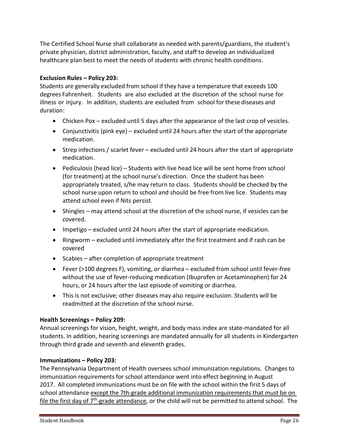The Certified School Nurse shall collaborate as needed with parents/guardians, the student's private physician, district administration, faculty, and staff to develop an individualized healthcare plan best to meet the needs of students with chronic health conditions.

# **Exclusion Rules – Policy 203:**

Students are generally excluded from school if they have a temperature that exceeds 100 degrees Fahrenheit. Students are also excluded at the discretion of the school nurse for illness or injury. In addition, students are excluded from school for these diseases and duration:

- Chicken Pox excluded until 5 days after the appearance of the last crop of vesicles.
- Conjunctivitis (pink eye) excluded until 24 hours after the start of the appropriate medication.
- Strep infections / scarlet fever excluded until 24 hours after the start of appropriate medication.
- Pediculosis (head lice) Students with live head lice will be sent home from school (for treatment) at the school nurse's direction. Once the student has been appropriately treated, s/he may return to class. Students should be checked by the school nurse upon return to school and should be free from live lice. Students may attend school even if Nits persist.
- Shingles may attend school at the discretion of the school nurse, if vesicles can be covered.
- Impetigo excluded until 24 hours after the start of appropriate medication.
- Ringworm excluded until immediately after the first treatment and if rash can be covered
- Scabies after completion of appropriate treatment
- Fever (>100 degrees F), vomiting, or diarrhea excluded from school until fever-free without the use of fever-reducing medication (Ibuprofen or Acetaminophen) for 24 hours, or 24 hours after the last episode of vomiting or diarrhea.
- This is not exclusive; other diseases may also require exclusion. Students will be readmitted at the discretion of the school nurse.

# **Health Screenings – Policy 209:**

Annual screenings for vision, height, weight, and body mass index are state-mandated for all students. In addition, hearing screenings are mandated annually for all students in Kindergarten through third grade and seventh and eleventh grades.

# **Immunizations – Policy 203:**

The Pennsylvania Department of Health oversees school immunization regulations. Changes to immunization requirements for school attendance went into effect beginning in August 2017. All completed immunizations must be on file with the school within the first 5 days of school attendance except the 7th-grade additional immunization requirements that must be on file the first day of  $7<sup>th</sup>$ -grade attendance, or the child will not be permitted to attend school. The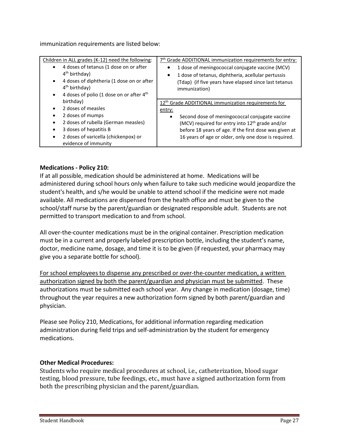immunization requirements are listed below:

| Children in ALL grades (K-12) need the following:                                                                                             | 7 <sup>th</sup> Grade ADDITIONAL immunization requirements for entry:                                                                                                       |
|-----------------------------------------------------------------------------------------------------------------------------------------------|-----------------------------------------------------------------------------------------------------------------------------------------------------------------------------|
| 4 doses of tetanus (1 dose on or after<br>4 <sup>th</sup> birthday)<br>4 doses of diphtheria (1 dose on or after<br>4 <sup>th</sup> birthday) | 1 dose of meningococcal conjugate vaccine (MCV)<br>1 dose of tetanus, diphtheria, acellular pertussis<br>$\bullet$<br>(Tdap) (if five years have elapsed since last tetanus |
| 4 doses of polio (1 dose on or after 4 <sup>th</sup>                                                                                          | immunization)                                                                                                                                                               |
| birthday)                                                                                                                                     | 12 <sup>th</sup> Grade ADDITIONAL immunization requirements for                                                                                                             |
| 2 doses of measles                                                                                                                            | entry:                                                                                                                                                                      |
| 2 doses of mumps                                                                                                                              | Second dose of meningococcal conjugate vaccine<br>$\bullet$                                                                                                                 |
| 2 doses of rubella (German measles)                                                                                                           | (MCV) required for entry into 12 <sup>th</sup> grade and/or                                                                                                                 |
| 3 doses of hepatitis B                                                                                                                        | before 18 years of age. If the first dose was given at                                                                                                                      |
| 2 doses of varicella (chickenpox) or<br>evidence of immunity                                                                                  | 16 years of age or older, only one dose is required.                                                                                                                        |

# **Medications - Policy 210:**

If at all possible, medication should be administered at home. Medications will be administered during school hours only when failure to take such medicine would jeopardize the student's health, and s/he would be unable to attend school if the medicine were not made available. All medications are dispensed from the health office and must be given to the school/staff nurse by the parent/guardian or designated responsible adult. Students are not permitted to transport medication to and from school.

All over-the-counter medications must be in the original container. Prescription medication must be in a current and properly labeled prescription bottle, including the student's name, doctor, medicine name, dosage, and time it is to be given (if requested, your pharmacy may give you a separate bottle for school).

For school employees to dispense any prescribed or over-the-counter medication, a written authorization signed by both the parent/guardian and physician must be submitted. These authorizations must be submitted each school year. Any change in medication (dosage, time) throughout the year requires a new authorization form signed by both parent/guardian and physician.

Please see Policy 210, Medications, for additional information regarding medication administration during field trips and self-administration by the student for emergency medications.

#### **Other Medical Procedures:**

Students who require medical procedures at school, i.e., catheterization, blood sugar testing, blood pressure, tube feedings, etc., must have a signed authorization form from both the prescribing physician and the parent/guardian.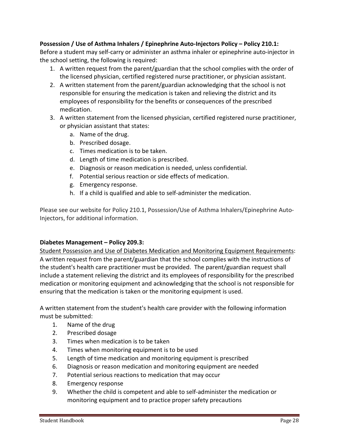# **Possession / Use of Asthma Inhalers / Epinephrine Auto-Injectors Policy – Policy 210.1:**

Before a student may self-carry or administer an asthma inhaler or epinephrine auto-injector in the school setting, the following is required:

- 1. A written request from the parent/guardian that the school complies with the order of the licensed physician, certified registered nurse practitioner, or physician assistant.
- 2. A written statement from the parent/guardian acknowledging that the school is not responsible for ensuring the medication is taken and relieving the district and its employees of responsibility for the benefits or consequences of the prescribed medication.
- 3. A written statement from the licensed physician, certified registered nurse practitioner, or physician assistant that states:
	- a. Name of the drug.
	- b. Prescribed dosage.
	- c. Times medication is to be taken.
	- d. Length of time medication is prescribed.
	- e. Diagnosis or reason medication is needed, unless confidential.
	- f. Potential serious reaction or side effects of medication.
	- g. Emergency response.
	- h. If a child is qualified and able to self-administer the medication.

Please see our website for Policy 210.1, Possession/Use of Asthma Inhalers/Epinephrine Auto-Injectors, for additional information.

#### **Diabetes Management – Policy 209.3:**

Student Possession and Use of Diabetes Medication and Monitoring Equipment Requirements: A written request from the parent/guardian that the school complies with the instructions of the student's health care practitioner must be provided. The parent/guardian request shall include a statement relieving the district and its employees of responsibility for the prescribed medication or monitoring equipment and acknowledging that the school is not responsible for ensuring that the medication is taken or the monitoring equipment is used.

A written statement from the student's health care provider with the following information must be submitted:

- 1. Name of the drug
- 2. Prescribed dosage
- 3. Times when medication is to be taken
- 4. Times when monitoring equipment is to be used
- 5. Length of time medication and monitoring equipment is prescribed
- 6. Diagnosis or reason medication and monitoring equipment are needed
- 7. Potential serious reactions to medication that may occur
- 8. Emergency response
- 9. Whether the child is competent and able to self-administer the medication or monitoring equipment and to practice proper safety precautions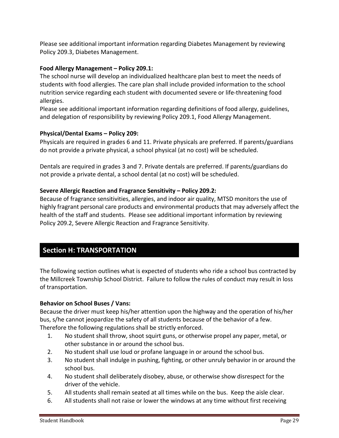Please see additional important information regarding Diabetes Management by reviewing Policy 209.3, Diabetes Management.

# **Food Allergy Management – Policy 209.1:**

The school nurse will develop an individualized healthcare plan best to meet the needs of students with food allergies. The care plan shall include provided information to the school nutrition service regarding each student with documented severe or life-threatening food allergies.

Please see additional important information regarding definitions of food allergy, guidelines, and delegation of responsibility by reviewing Policy 209.1, Food Allergy Management.

# **Physical/Dental Exams – Policy 209:**

Physicals are required in grades 6 and 11. Private physicals are preferred. If parents/guardians do not provide a private physical, a school physical (at no cost) will be scheduled.

Dentals are required in grades 3 and 7. Private dentals are preferred. If parents/guardians do not provide a private dental, a school dental (at no cost) will be scheduled.

#### **Severe Allergic Reaction and Fragrance Sensitivity – Policy 209.2:**

Because of fragrance sensitivities, allergies, and indoor air quality, MTSD monitors the use of highly fragrant personal care products and environmental products that may adversely affect the health of the staff and students. Please see additional important information by reviewing Policy 209.2, Severe Allergic Reaction and Fragrance Sensitivity.

# **Section H: TRANSPORTATION**

The following section outlines what is expected of students who ride a school bus contracted by the Millcreek Township School District. Failure to follow the rules of conduct may result in loss of transportation.

#### **Behavior on School Buses / Vans:**

Because the driver must keep his/her attention upon the highway and the operation of his/her bus, s/he cannot jeopardize the safety of all students because of the behavior of a few. Therefore the following regulations shall be strictly enforced.

- 1. No student shall throw, shoot squirt guns, or otherwise propel any paper, metal, or other substance in or around the school bus.
- 2. No student shall use loud or profane language in or around the school bus.
- 3. No student shall indulge in pushing, fighting, or other unruly behavior in or around the school bus.
- 4. No student shall deliberately disobey, abuse, or otherwise show disrespect for the driver of the vehicle.
- 5. All students shall remain seated at all times while on the bus. Keep the aisle clear.
- 6. All students shall not raise or lower the windows at any time without first receiving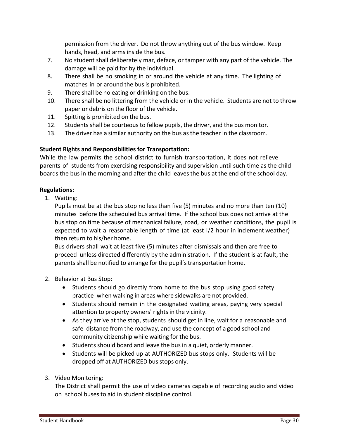permission from the driver. Do not throw anything out of the bus window. Keep hands, head, and arms inside the bus.

- 7. No student shall deliberately mar, deface, or tamper with any part of the vehicle. The damage will be paid for by the individual.
- 8. There shall be no smoking in or around the vehicle at any time. The lighting of matches in or around the bus is prohibited.
- 9. There shall be no eating or drinking on the bus.
- 10. There shall be no littering from the vehicle or in the vehicle. Students are not to throw paper or debris on the floor of the vehicle.
- 11. Spitting is prohibited on the bus.
- 12. Students shall be courteousto fellow pupils, the driver, and the bus monitor.
- 13. The driver has a similar authority on the bus as the teacher in the classroom.

# **Student Rights and Responsibilities for Transportation:**

While the law permits the school district to furnish transportation, it does not relieve parents of students from exercising responsibility and supervision until such time as the child boards the bus in the morning and after the child leavesthe bus at the end of the school day.

# **Regulations:**

1. Waiting:

Pupils must be at the bus stop no less than five (5) minutes and no more than ten (10) minutes before the scheduled bus arrival time. If the school bus does not arrive at the bus stop on time because of mechanical failure, road, or weather conditions, the pupil is expected to wait a reasonable length of time (at least l/2 hour in inclement weather) then return to his/her home.

Bus drivers shall wait at least five (5) minutes after dismissals and then are free to proceed unless directed differently by the administration. If the student is at fault, the parents shall be notified to arrange for the pupil's transportation home.

- 2. Behavior at Bus Stop:
	- Students should go directly from home to the bus stop using good safety practice when walking in areas where sidewalks are not provided.
	- Students should remain in the designated waiting areas, paying very special attention to property owners' rights in the vicinity.
	- As they arrive at the stop, students should get in line, wait for a reasonable and safe distance from the roadway, and use the concept of a good school and community citizenship while waiting for the bus.
	- Students should board and leave the bus in a quiet, orderly manner.
	- Students will be picked up at AUTHORIZED bus stops only. Students will be dropped off at AUTHORIZED bus stops only.
- 3. Video Monitoring:

The District shall permit the use of video cameras capable of recording audio and video on school busesto aid in student discipline control.